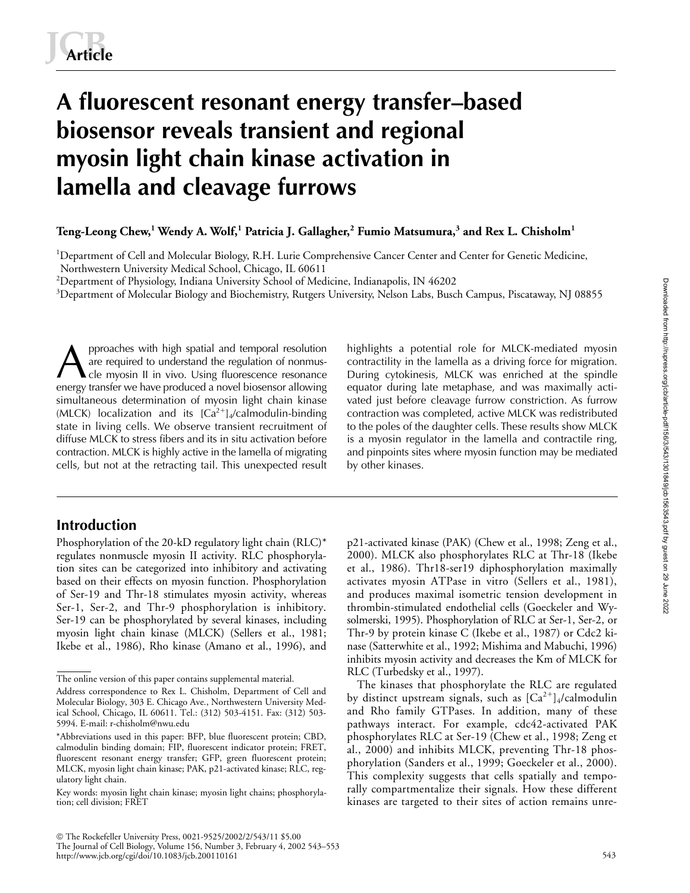# **A fluorescent resonant energy transfer–based biosensor reveals transient and regional myosin light chain kinase activation in lamella and cleavage furrows**

# **Teng-Leong Chew,<sup>1</sup> Wendy A. Wolf,<sup>1</sup> Patricia J. Gallagher,<sup>2</sup> Fumio Matsumura,<sup>3</sup> and Rex L. Chisholm<sup>1</sup>**

<sup>1</sup>Department of Cell and Molecular Biology, R.H. Lurie Comprehensive Cancer Center and Center for Genetic Medicine, Northwestern University Medical School, Chicago, IL 60611

2 Department of Physiology, Indiana University School of Medicine, Indianapolis, IN 46202

 $^3$ Department of Molecular Biology and Biochemistry, Rutgers University, Nelson Labs, Busch Campus, Piscataway, NJ 08855

pproaches with high spatial and temporal resolution are required to understand the regulation of nonmuscle myosin II in vivo*.* Using fluorescence resonance energy transfer we have produced a novel biosensor allowing simultaneous determination of myosin light chain kinase (MLCK) localization and its  $[Ca^{2+}]$ <sub>4</sub>/calmodulin-binding state in living cells. We observe transient recruitment of diffuse MLCK to stress fibers and its in situ activation before contraction. MLCK is highly active in the lamella of migrating cells, but not at the retracting tail. This unexpected result

# **Introduction**

Phosphorylation of the 20-kD regulatory light chain (RLC)\* regulates nonmuscle myosin II activity. RLC phosphorylation sites can be categorized into inhibitory and activating based on their effects on myosin function. Phosphorylation of Ser-19 and Thr-18 stimulates myosin activity, whereas Ser-1, Ser-2, and Thr-9 phosphorylation is inhibitory. Ser-19 can be phosphorylated by several kinases, including myosin light chain kinase (MLCK) (Sellers et al., 1981; Ikebe et al., 1986), Rho kinase (Amano et al., 1996), and highlights a potential role for MLCK-mediated myosin contractility in the lamella as a driving force for migration. During cytokinesis, MLCK was enriched at the spindle equator during late metaphase, and was maximally activated just before cleavage furrow constriction. As furrow contraction was completed, active MLCK was redistributed to the poles of the daughter cells. These results show MLCK is a myosin regulator in the lamella and contractile ring, and pinpoints sites where myosin function may be mediated by other kinases.

p21-activated kinase (PAK) (Chew et al., 1998; Zeng et al., 2000). MLCK also phosphorylates RLC at Thr-18 (Ikebe et al., 1986). Thr18-ser19 diphosphorylation maximally activates myosin ATPase in vitro (Sellers et al., 1981), and produces maximal isometric tension development in thrombin-stimulated endothelial cells (Goeckeler and Wysolmerski, 1995). Phosphorylation of RLC at Ser-1, Ser-2, or Thr-9 by protein kinase C (Ikebe et al., 1987) or Cdc2 kinase (Satterwhite et al., 1992; Mishima and Mabuchi, 1996) inhibits myosin activity and decreases the Km of MLCK for RLC (Turbedsky et al., 1997).

The kinases that phosphorylate the RLC are regulated by distinct upstream signals, such as  $[Ca^{2+}]_4/calmoduli$ n and Rho family GTPases. In addition, many of these pathways interact. For example, cdc42-activated PAK phosphorylates RLC at Ser-19 (Chew et al., 1998; Zeng et al., 2000) and inhibits MLCK, preventing Thr-18 phosphorylation (Sanders et al., 1999; Goeckeler et al., 2000). This complexity suggests that cells spatially and temporally compartmentalize their signals. How these different kinases are targeted to their sites of action remains unre-

The online version of this paper contains supplemental material.

Address correspondence to Rex L. Chisholm, Department of Cell and Molecular Biology, 303 E. Chicago Ave., Northwestern University Medical School, Chicago, IL 60611. Tel.: (312) 503-4151. Fax: (312) 503- 5994. E-mail: r-chisholm@nwu.edu

<sup>\*</sup>Abbreviations used in this paper: BFP, blue fluorescent protein; CBD, calmodulin binding domain; FIP, fluorescent indicator protein; FRET, fluorescent resonant energy transfer; GFP, green fluorescent protein; MLCK, myosin light chain kinase; PAK, p21-activated kinase; RLC, regulatory light chain.

Key words: myosin light chain kinase; myosin light chains; phosphorylation; cell division; FRET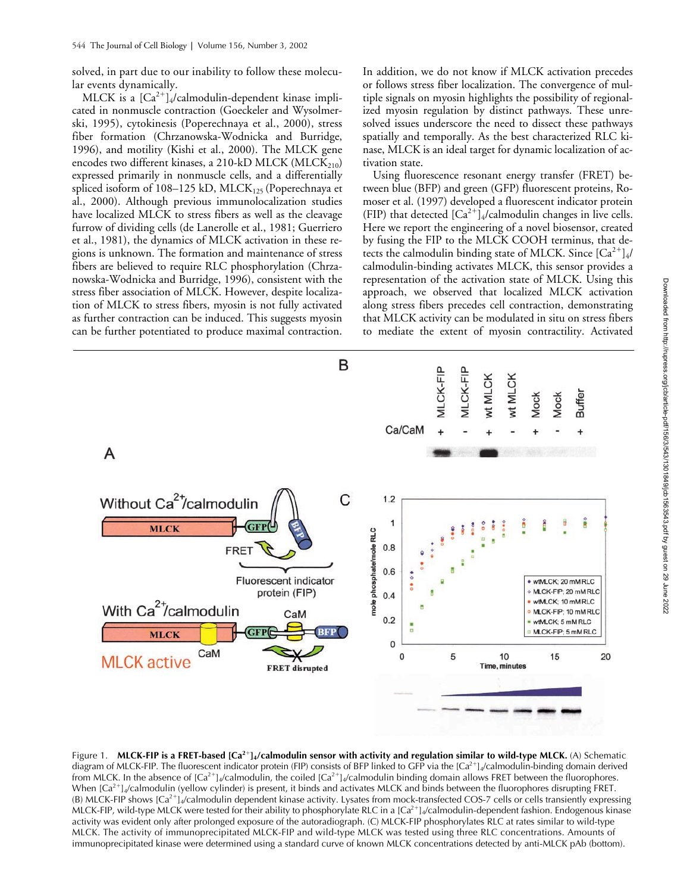solved, in part due to our inability to follow these molecular events dynamically.

MLCK is a  $[Ca^{2+}]\_4$ /calmodulin-dependent kinase implicated in nonmuscle contraction (Goeckeler and Wysolmerski, 1995), cytokinesis (Poperechnaya et al., 2000), stress fiber formation (Chrzanowska-Wodnicka and Burridge, 1996), and motility (Kishi et al., 2000). The MLCK gene encodes two different kinases, a 210-kD MLCK ( $MLCK_{210}$ ) expressed primarily in nonmuscle cells, and a differentially spliced isoform of 108–125 kD, MLC $K_{125}$  (Poperechnaya et al., 2000). Although previous immunolocalization studies have localized MLCK to stress fibers as well as the cleavage furrow of dividing cells (de Lanerolle et al., 1981; Guerriero et al., 1981), the dynamics of MLCK activation in these regions is unknown. The formation and maintenance of stress fibers are believed to require RLC phosphorylation (Chrzanowska-Wodnicka and Burridge, 1996), consistent with the stress fiber association of MLCK. However, despite localization of MLCK to stress fibers, myosin is not fully activated as further contraction can be induced. This suggests myosin can be further potentiated to produce maximal contraction.

In addition, we do not know if MLCK activation precedes or follows stress fiber localization. The convergence of multiple signals on myosin highlights the possibility of regionalized myosin regulation by distinct pathways. These unresolved issues underscore the need to dissect these pathways spatially and temporally. As the best characterized RLC kinase, MLCK is an ideal target for dynamic localization of activation state.

Using fluorescence resonant energy transfer (FRET) between blue (BFP) and green (GFP) fluorescent proteins, Romoser et al. (1997) developed a fluorescent indicator protein (FIP) that detected  $\left[Ca^{2+}\right]_4/cal$  modulin changes in live cells. Here we report the engineering of a novel biosensor, created by fusing the FIP to the MLCK COOH terminus, that detects the calmodulin binding state of MLCK. Since  $[Ca^{2+}]_4/$ calmodulin-binding activates MLCK, this sensor provides a representation of the activation state of MLCK. Using this approach, we observed that localized MLCK activation along stress fibers precedes cell contraction, demonstrating that MLCK activity can be modulated in situ on stress fibers to mediate the extent of myosin contractility. Activated



Figure 1. MLCK-FIP is a FRET-based [Ca<sup>2+</sup>]<sub>4</sub>/calmodulin sensor with activity and regulation similar to wild-type MLCK. (A) Schematic diagram of MLCK-FIP. The fluorescent indicator protein (FIP) consists of BFP linked to GFP via the [Ca<sup>2+</sup>]<sub>4</sub>/calmodulin-binding domain derived from MLCK. In the absence of  $[Ca^{2+}]_4$ /calmodulin, the coiled  $[Ca^{2+}]_4$ /calmodulin binding domain allows FRET between the fluorophores. When  $[Ca^{2+}]$ <sub>4</sub>/calmodulin (yellow cylinder) is present, it binds and activates MLCK and binds between the fluorophores disrupting FRET. (B) MLCK-FIP shows  $[Ca^{2+}]\xspace_4$ /calmodulin dependent kinase activity. Lysates from mock-transfected COS-7 cells or cells transiently expressing MLCK-FIP, wild-type MLCK were tested for their ability to phosphorylate RLC in a [Ca $^{2+}$ ] $_{4}$ /calmodulin-dependent fashion. Endogenous kinase activity was evident only after prolonged exposure of the autoradiograph. (C) MLCK-FIP phosphorylates RLC at rates similar to wild-type MLCK. The activity of immunoprecipitated MLCK-FIP and wild-type MLCK was tested using three RLC concentrations. Amounts of immunoprecipitated kinase were determined using a standard curve of known MLCK concentrations detected by anti-MLCK pAb (bottom).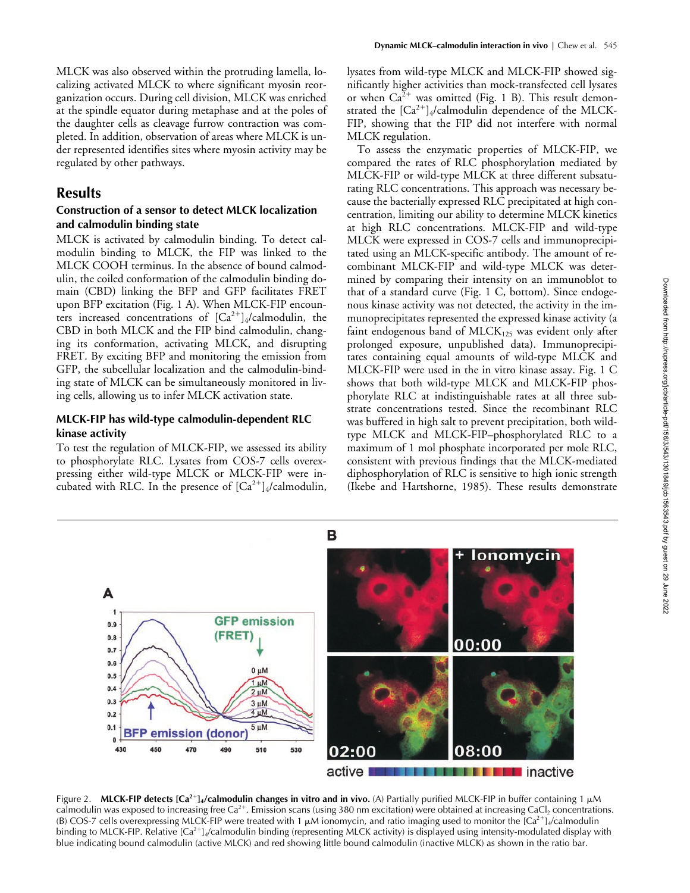MLCK was also observed within the protruding lamella, localizing activated MLCK to where significant myosin reorganization occurs. During cell division, MLCK was enriched at the spindle equator during metaphase and at the poles of the daughter cells as cleavage furrow contraction was completed. In addition, observation of areas where MLCK is under represented identifies sites where myosin activity may be regulated by other pathways.

## **Results**

## **Construction of a sensor to detect MLCK localization and calmodulin binding state**

MLCK is activated by calmodulin binding. To detect calmodulin binding to MLCK, the FIP was linked to the MLCK COOH terminus. In the absence of bound calmodulin, the coiled conformation of the calmodulin binding domain (CBD) linking the BFP and GFP facilitates FRET upon BFP excitation (Fig. 1 A). When MLCK-FIP encounters increased concentrations of  $[Ca^{2+}]_4/cal$  modulin, the CBD in both MLCK and the FIP bind calmodulin, changing its conformation, activating MLCK, and disrupting FRET. By exciting BFP and monitoring the emission from GFP, the subcellular localization and the calmodulin-binding state of MLCK can be simultaneously monitored in living cells, allowing us to infer MLCK activation state.

## **MLCK-FIP has wild-type calmodulin-dependent RLC kinase activity**

To test the regulation of MLCK-FIP, we assessed its ability to phosphorylate RLC. Lysates from COS-7 cells overexpressing either wild-type MLCK or MLCK-FIP were incubated with RLC. In the presence of  $[Ca^{2+}]_4/cal$  modulin,

lysates from wild-type MLCK and MLCK-FIP showed significantly higher activities than mock-transfected cell lysates or when  $Ca^{2+}$  was omitted (Fig. 1 B). This result demonstrated the  $[Ca^{2+}]_4/calmoduli$ n dependence of the MLCK-FIP, showing that the FIP did not interfere with normal MLCK regulation.

To assess the enzymatic properties of MLCK-FIP, we compared the rates of RLC phosphorylation mediated by MLCK-FIP or wild-type MLCK at three different subsaturating RLC concentrations. This approach was necessary because the bacterially expressed RLC precipitated at high concentration, limiting our ability to determine MLCK kinetics at high RLC concentrations. MLCK-FIP and wild-type MLCK were expressed in COS-7 cells and immunoprecipitated using an MLCK-specific antibody. The amount of recombinant MLCK-FIP and wild-type MLCK was determined by comparing their intensity on an immunoblot to that of a standard curve (Fig. 1 C, bottom). Since endogenous kinase activity was not detected, the activity in the immunoprecipitates represented the expressed kinase activity (a faint endogenous band of  $MLCK_{125}$  was evident only after prolonged exposure, unpublished data). Immunoprecipitates containing equal amounts of wild-type MLCK and MLCK-FIP were used in the in vitro kinase assay. Fig. 1 C shows that both wild-type MLCK and MLCK-FIP phosphorylate RLC at indistinguishable rates at all three substrate concentrations tested. Since the recombinant RLC was buffered in high salt to prevent precipitation, both wildtype MLCK and MLCK-FIP–phosphorylated RLC to a maximum of 1 mol phosphate incorporated per mole RLC, consistent with previous findings that the MLCK-mediated diphosphorylation of RLC is sensitive to high ionic strength (Ikebe and Hartshorne, 1985). These results demonstrate



Figure 2. MLCK-FIP detects [Ca<sup>2+</sup>]<sub>4</sub>/calmodulin changes in vitro and in vivo. (A) Partially purified MLCK-FIP in buffer containing 1 µM calmodulin was exposed to increasing free Ca<sup>2+</sup>. Emission scans (using 380 nm excitation) were obtained at increasing CaCl<sub>2</sub> concentrations. (B) COS-7 cells overexpressing MLCK-FIP were treated with 1  $\mu$ M ionomycin, and ratio imaging used to monitor the [Ca<sup>2+</sup>]<sub>4</sub>/calmodulin binding to MLCK-FIP. Relative [Ca<sup>2+</sup>]<sub>4</sub>/calmodulin binding (representing MLCK activity) is displayed using intensity-modulated display with blue indicating bound calmodulin (active MLCK) and red showing little bound calmodulin (inactive MLCK) as shown in the ratio bar.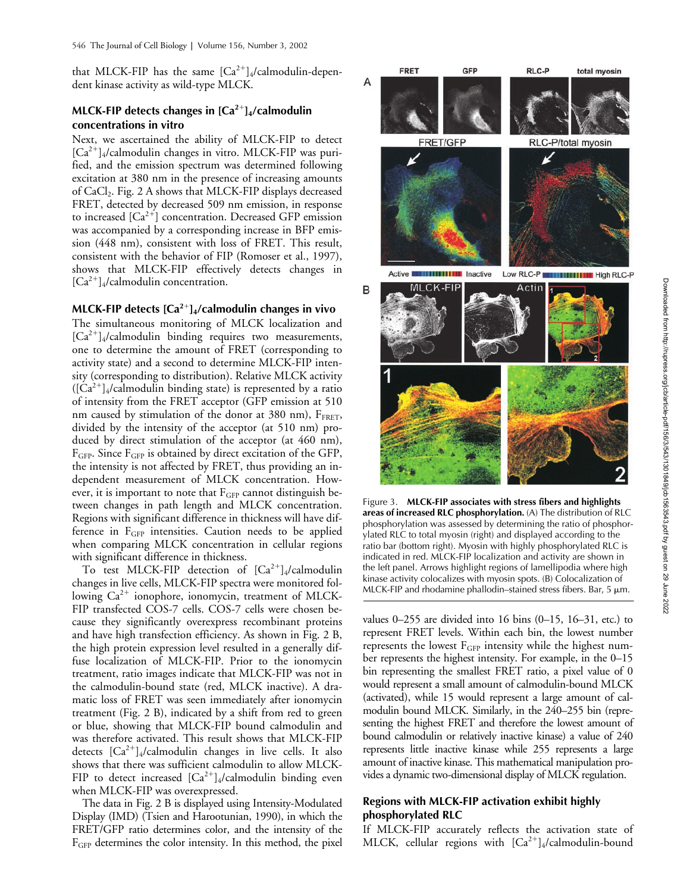that MLCK-FIP has the same  $[Ca^{2+}]_4$ /calmodulin-dependent kinase activity as wild-type MLCK.

## **MLCK-FIP detects changes in [Ca2**-**]4/calmodulin concentrations in vitro**

Next, we ascertained the ability of MLCK-FIP to detect [Ca<sup>2</sup>-]4/calmodulin changes in vitro. MLCK-FIP was purified, and the emission spectrum was determined following excitation at 380 nm in the presence of increasing amounts of CaCl<sub>2</sub>. Fig. 2 A shows that MLCK-FIP displays decreased FRET, detected by decreased 509 nm emission, in response to increased  $\left[Ca^{2+}\right]$  concentration. Decreased GFP emission was accompanied by a corresponding increase in BFP emission (448 nm), consistent with loss of FRET. This result, consistent with the behavior of FIP (Romoser et al., 1997), shows that MLCK-FIP effectively detects changes in  $[Ca^{2+}]$ <sub>4</sub>/calmodulin concentration.

## **MLCK-FIP detects [Ca2**-**]4/calmodulin changes in vivo**

The simultaneous monitoring of MLCK localization and [Ca<sup>2</sup>-]4/calmodulin binding requires two measurements, one to determine the amount of FRET (corresponding to activity state) and a second to determine MLCK-FIP intensity (corresponding to distribution). Relative MLCK activity  $([Ca<sup>2+</sup>]$ <sub>4</sub>/calmodulin binding state) is represented by a ratio of intensity from the FRET acceptor (GFP emission at 510 nm caused by stimulation of the donor at 380 nm), FFRET, divided by the intensity of the acceptor (at 510 nm) produced by direct stimulation of the acceptor (at 460 nm), F<sub>GFP</sub>. Since F<sub>GFP</sub> is obtained by direct excitation of the GFP, the intensity is not affected by FRET, thus providing an independent measurement of MLCK concentration. However, it is important to note that  $F<sub>GFP</sub>$  cannot distinguish between changes in path length and MLCK concentration. Regions with significant difference in thickness will have difference in F<sub>GFP</sub> intensities. Caution needs to be applied when comparing MLCK concentration in cellular regions with significant difference in thickness.

To test MLCK-FIP detection of  $[Ca^{2+}]_4$ /calmodulin changes in live cells, MLCK-FIP spectra were monitored following Ca<sup>2+</sup> ionophore, ionomycin, treatment of MLCK-FIP transfected COS-7 cells. COS-7 cells were chosen because they significantly overexpress recombinant proteins and have high transfection efficiency. As shown in Fig. 2 B, the high protein expression level resulted in a generally diffuse localization of MLCK-FIP. Prior to the ionomycin treatment, ratio images indicate that MLCK-FIP was not in the calmodulin-bound state (red, MLCK inactive). A dramatic loss of FRET was seen immediately after ionomycin treatment (Fig. 2 B), indicated by a shift from red to green or blue, showing that MLCK-FIP bound calmodulin and was therefore activated. This result shows that MLCK-FIP detects  $[Ca^{2+}]$ <sub>4</sub>/calmodulin changes in live cells. It also shows that there was sufficient calmodulin to allow MLCK-FIP to detect increased  $[Ca^{2+}]_4$ /calmodulin binding even when MLCK-FIP was overexpressed.

The data in Fig. 2 B is displayed using Intensity-Modulated Display (IMD) (Tsien and Harootunian, 1990), in which the FRET/GFP ratio determines color, and the intensity of the FGFP determines the color intensity. In this method, the pixel



Figure 3. **MLCK-FIP associates with stress fibers and highlights areas of increased RLC phosphorylation.** (A) The distribution of RLC phosphorylation was assessed by determining the ratio of phosphorylated RLC to total myosin (right) and displayed according to the ratio bar (bottom right). Myosin with highly phosphorylated RLC is indicated in red. MLCK-FIP localization and activity are shown in the left panel. Arrows highlight regions of lamellipodia where high kinase activity colocalizes with myosin spots. (B) Colocalization of MLCK-FIP and rhodamine phallodin–stained stress fibers. Bar,  $5 \mu m$ .

values 0–255 are divided into 16 bins (0–15, 16–31, etc.) to represent FRET levels. Within each bin, the lowest number represents the lowest  $F_{GFP}$  intensity while the highest number represents the highest intensity. For example, in the 0–15 bin representing the smallest FRET ratio, a pixel value of 0 would represent a small amount of calmodulin-bound MLCK (activated), while 15 would represent a large amount of calmodulin bound MLCK. Similarly, in the 240–255 bin (representing the highest FRET and therefore the lowest amount of bound calmodulin or relatively inactive kinase) a value of 240 represents little inactive kinase while 255 represents a large amount of inactive kinase. This mathematical manipulation provides a dynamic two-dimensional display of MLCK regulation.

## **Regions with MLCK-FIP activation exhibit highly phosphorylated RLC**

If MLCK-FIP accurately reflects the activation state of MLCK, cellular regions with  $[Ca^{2+}]_4$ /calmodulin-bound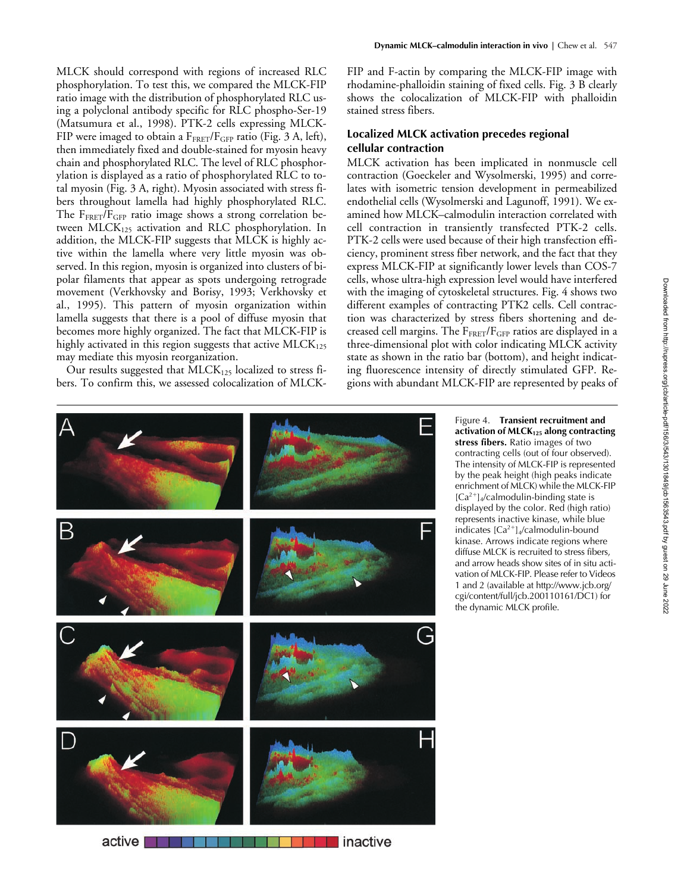MLCK should correspond with regions of increased RLC phosphorylation. To test this, we compared the MLCK-FIP ratio image with the distribution of phosphorylated RLC using a polyclonal antibody specific for RLC phospho-Ser-19 (Matsumura et al., 1998). PTK-2 cells expressing MLCK-FIP were imaged to obtain a  $F_{FRET}/F_{GFP}$  ratio (Fig. 3 A, left), then immediately fixed and double-stained for myosin heavy chain and phosphorylated RLC. The level of RLC phosphorylation is displayed as a ratio of phosphorylated RLC to total myosin (Fig. 3 A, right). Myosin associated with stress fibers throughout lamella had highly phosphorylated RLC. The  $F_{FRET}/F_{GFP}$  ratio image shows a strong correlation between MLCK<sub>125</sub> activation and RLC phosphorylation. In addition, the MLCK-FIP suggests that MLCK is highly active within the lamella where very little myosin was observed. In this region, myosin is organized into clusters of bipolar filaments that appear as spots undergoing retrograde movement (Verkhovsky and Borisy, 1993; Verkhovsky et al., 1995). This pattern of myosin organization within lamella suggests that there is a pool of diffuse myosin that becomes more highly organized. The fact that MLCK-FIP is highly activated in this region suggests that active  $MLCK_{125}$ may mediate this myosin reorganization.

Our results suggested that  $MLCK_{125}$  localized to stress fibers. To confirm this, we assessed colocalization of MLCK-

FIP and F-actin by comparing the MLCK-FIP image with rhodamine-phalloidin staining of fixed cells. Fig. 3 B clearly shows the colocalization of MLCK-FIP with phalloidin stained stress fibers.

## **Localized MLCK activation precedes regional cellular contraction**

MLCK activation has been implicated in nonmuscle cell contraction (Goeckeler and Wysolmerski, 1995) and correlates with isometric tension development in permeabilized endothelial cells (Wysolmerski and Lagunoff, 1991). We examined how MLCK–calmodulin interaction correlated with cell contraction in transiently transfected PTK-2 cells. PTK-2 cells were used because of their high transfection efficiency, prominent stress fiber network, and the fact that they express MLCK-FIP at significantly lower levels than COS-7 cells, whose ultra-high expression level would have interfered with the imaging of cytoskeletal structures. Fig. 4 shows two different examples of contracting PTK2 cells. Cell contraction was characterized by stress fibers shortening and decreased cell margins. The  $F_{\text{FRET}}/F_{\text{GFP}}$  ratios are displayed in a three-dimensional plot with color indicating MLCK activity state as shown in the ratio bar (bottom), and height indicating fluorescence intensity of directly stimulated GFP. Regions with abundant MLCK-FIP are represented by peaks of



Figure 4. **Transient recruitment and activation of MLCK125 along contracting stress fibers.** Ratio images of two contracting cells (out of four observed). The intensity of MLCK-FIP is represented by the peak height (high peaks indicate enrichment of MLCK) while the MLCK-FIP  $[Ca<sup>2+</sup>]$ <sub>4</sub>/calmodulin-binding state is displayed by the color. Red (high ratio) represents inactive kinase, while blue indicates [Ca<sup>2+</sup>]<sub>4</sub>/calmodulin-bound kinase. Arrows indicate regions where diffuse MLCK is recruited to stress fibers, and arrow heads show sites of in situ activation of MLCK-FIP. Please refer to Videos 1 and 2 (available at http://www.jcb.org/ cgi/content/full/jcb.200110161/DC1) for the dynamic MLCK profile.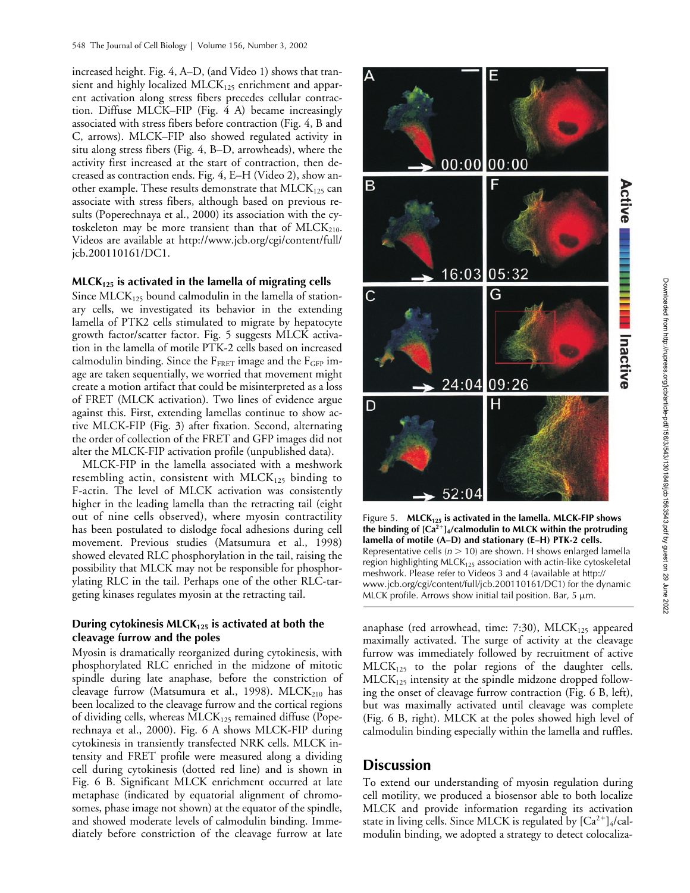increased height. Fig. 4, A–D, (and Video 1) shows that transient and highly localized  $MLCK_{125}$  enrichment and apparent activation along stress fibers precedes cellular contraction. Diffuse MLCK–FIP (Fig. 4 A) became increasingly associated with stress fibers before contraction (Fig. 4, B and C, arrows). MLCK–FIP also showed regulated activity in situ along stress fibers (Fig. 4, B–D, arrowheads), where the activity first increased at the start of contraction, then decreased as contraction ends. Fig. 4, E–H (Video 2), show another example. These results demonstrate that  $MLCK_{125}$  can associate with stress fibers, although based on previous results (Poperechnaya et al., 2000) its association with the cytoskeleton may be more transient than that of  $MLCK_{210}$ . Videos are available at http://www.jcb.org/cgi/content/full/ jcb.200110161/DC1.

## **MLCK125 is activated in the lamella of migrating cells**

Since  $MLCK_{125}$  bound calmodulin in the lamella of stationary cells, we investigated its behavior in the extending lamella of PTK2 cells stimulated to migrate by hepatocyte growth factor/scatter factor. Fig. 5 suggests MLCK activation in the lamella of motile PTK-2 cells based on increased calmodulin binding. Since the  $F_{FRET}$  image and the  $F_{GFP}$  image are taken sequentially, we worried that movement might create a motion artifact that could be misinterpreted as a loss of FRET (MLCK activation). Two lines of evidence argue against this. First, extending lamellas continue to show active MLCK-FIP (Fig. 3) after fixation. Second, alternating the order of collection of the FRET and GFP images did not alter the MLCK-FIP activation profile (unpublished data).

MLCK-FIP in the lamella associated with a meshwork resembling actin, consistent with  $MLCK_{125}$  binding to F-actin. The level of MLCK activation was consistently higher in the leading lamella than the retracting tail (eight out of nine cells observed), where myosin contractility has been postulated to dislodge focal adhesions during cell movement. Previous studies (Matsumura et al., 1998) showed elevated RLC phosphorylation in the tail, raising the possibility that MLCK may not be responsible for phosphorylating RLC in the tail. Perhaps one of the other RLC-targeting kinases regulates myosin at the retracting tail.

## During cytokinesis MLCK<sub>125</sub> is activated at both the **cleavage furrow and the poles**

Myosin is dramatically reorganized during cytokinesis, with phosphorylated RLC enriched in the midzone of mitotic spindle during late anaphase, before the constriction of cleavage furrow (Matsumura et al., 1998).  $MLCK_{210}$  has been localized to the cleavage furrow and the cortical regions of dividing cells, whereas MLCK<sub>125</sub> remained diffuse (Poperechnaya et al., 2000). Fig. 6 A shows MLCK-FIP during cytokinesis in transiently transfected NRK cells. MLCK intensity and FRET profile were measured along a dividing cell during cytokinesis (dotted red line) and is shown in Fig. 6 B. Significant MLCK enrichment occurred at late metaphase (indicated by equatorial alignment of chromosomes, phase image not shown) at the equator of the spindle, and showed moderate levels of calmodulin binding. Immediately before constriction of the cleavage furrow at late



Figure 5. MLCK<sub>125</sub> is activated in the lamella. MLCK-FIP shows **the binding of [Ca2**-**]4/calmodulin to MLCK within the protruding lamella of motile (A–D) and stationary (E–H) PTK-2 cells.** Representative cells  $(n > 10)$  are shown. H shows enlarged lamella region highlighting MLC $K_{125}$  association with actin-like cytoskeletal meshwork. Please refer to Videos 3 and 4 (available at http:// www.jcb.org/cgi/content/full/jcb.200110161/DC1) for the dynamic MLCK profile. Arrows show initial tail position. Bar, 5  $\mu$ m.

anaphase (red arrowhead, time:  $7:30$ ), MLCK<sub>125</sub> appeared maximally activated. The surge of activity at the cleavage furrow was immediately followed by recruitment of active  $MLCK_{125}$  to the polar regions of the daughter cells.  $MLCK_{125}$  intensity at the spindle midzone dropped following the onset of cleavage furrow contraction (Fig. 6 B, left), but was maximally activated until cleavage was complete (Fig. 6 B, right). MLCK at the poles showed high level of calmodulin binding especially within the lamella and ruffles.

# **Discussion**

To extend our understanding of myosin regulation during cell motility, we produced a biosensor able to both localize MLCK and provide information regarding its activation state in living cells. Since MLCK is regulated by  $\lbrack Ca^{2+} \rbrack_4 / \text{cal-}$ modulin binding, we adopted a strategy to detect colocaliza-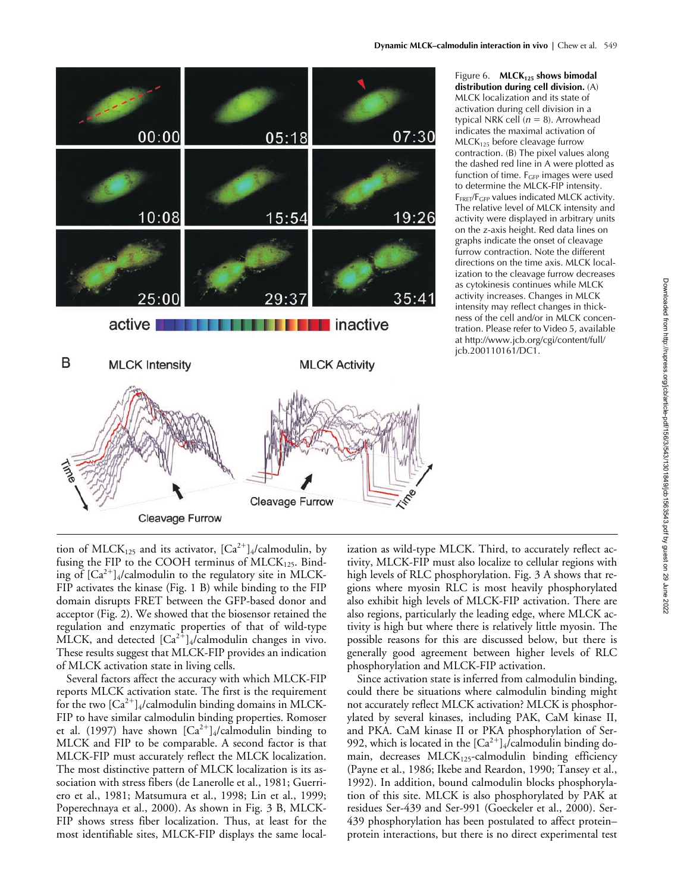

Figure 6. **MLCK<sub>125</sub> shows bimodal distribution during cell division.** (A) MLCK localization and its state of activation during cell division in a typical NRK cell  $(n = 8)$ . Arrowhead indicates the maximal activation of MLCK125 before cleavage furrow contraction. (B) The pixel values along the dashed red line in A were plotted as function of time.  $F_{GFP}$  images were used to determine the MLCK-FIP intensity. F<sub>FRET</sub>/F<sub>GFP</sub> values indicated MLCK activity. The relative level of MLCK intensity and activity were displayed in arbitrary units on the z-axis height. Red data lines on graphs indicate the onset of cleavage furrow contraction. Note the different directions on the time axis. MLCK localization to the cleavage furrow decreases as cytokinesis continues while MLCK activity increases. Changes in MLCK intensity may reflect changes in thickness of the cell and/or in MLCK concentration. Please refer to Video 5, available at http://www.jcb.org/cgi/content/full/ jcb.200110161/DC1.

tion of MLCK<sub>125</sub> and its activator,  $[Ca^{2+}]_4$ /calmodulin, by fusing the FIP to the COOH terminus of  $MLCK_{125}$ . Binding of  $[Ca^{2+}]$ <sub>4</sub>/calmodulin to the regulatory site in MLCK-FIP activates the kinase (Fig. 1 B) while binding to the FIP domain disrupts FRET between the GFP-based donor and acceptor (Fig. 2). We showed that the biosensor retained the regulation and enzymatic properties of that of wild-type MLCK, and detected  $[Ca^{2+}]\_4/cal$ modulin changes in vivo. These results suggest that MLCK-FIP provides an indication of MLCK activation state in living cells.

Several factors affect the accuracy with which MLCK-FIP reports MLCK activation state. The first is the requirement for the two  $\lbrack Ca^{2+}\rbrack_4/calmodulin binding domains in MLCK-$ FIP to have similar calmodulin binding properties. Romoser et al. (1997) have shown  $[Ca^{2+}]_4/calmodulin$  binding to MLCK and FIP to be comparable. A second factor is that MLCK-FIP must accurately reflect the MLCK localization. The most distinctive pattern of MLCK localization is its association with stress fibers (de Lanerolle et al., 1981; Guerriero et al., 1981; Matsumura et al., 1998; Lin et al., 1999; Poperechnaya et al., 2000). As shown in Fig. 3 B, MLCK-FIP shows stress fiber localization. Thus, at least for the most identifiable sites, MLCK-FIP displays the same localization as wild-type MLCK. Third, to accurately reflect activity, MLCK-FIP must also localize to cellular regions with high levels of RLC phosphorylation. Fig. 3 A shows that regions where myosin RLC is most heavily phosphorylated also exhibit high levels of MLCK-FIP activation. There are also regions, particularly the leading edge, where MLCK activity is high but where there is relatively little myosin. The possible reasons for this are discussed below, but there is generally good agreement between higher levels of RLC phosphorylation and MLCK-FIP activation.

Since activation state is inferred from calmodulin binding, could there be situations where calmodulin binding might not accurately reflect MLCK activation? MLCK is phosphorylated by several kinases, including PAK, CaM kinase II, and PKA. CaM kinase II or PKA phosphorylation of Ser-992, which is located in the  $\lbrack Ca^{2+} \rbrack_4$ /calmodulin binding domain, decreases MLCK<sub>125</sub>-calmodulin binding efficiency (Payne et al., 1986; Ikebe and Reardon, 1990; Tansey et al., 1992). In addition, bound calmodulin blocks phosphorylation of this site. MLCK is also phosphorylated by PAK at residues Ser-439 and Ser-991 (Goeckeler et al., 2000). Ser-439 phosphorylation has been postulated to affect protein– protein interactions, but there is no direct experimental test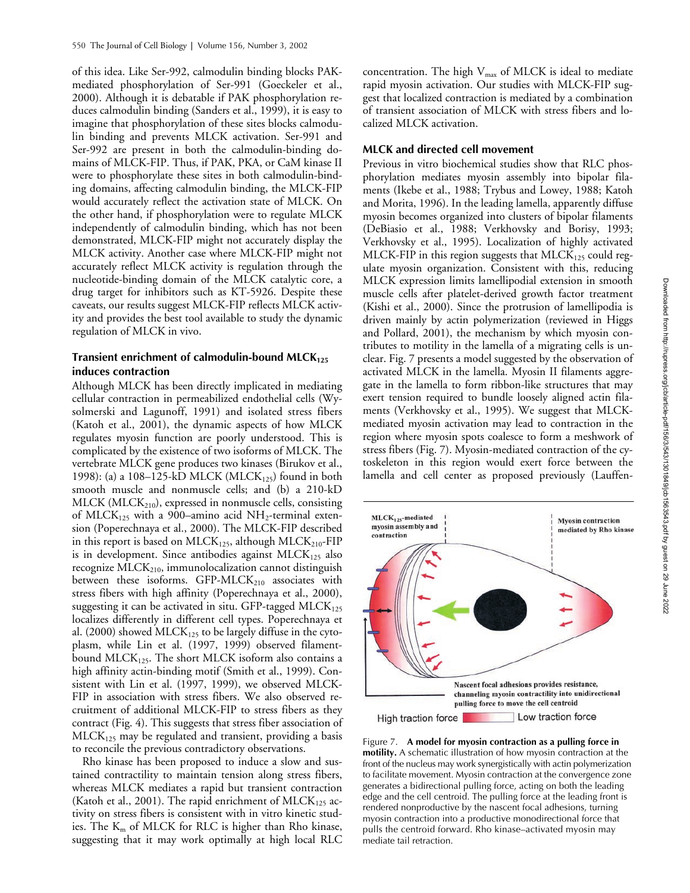of this idea. Like Ser-992, calmodulin binding blocks PAKmediated phosphorylation of Ser-991 (Goeckeler et al., 2000). Although it is debatable if PAK phosphorylation reduces calmodulin binding (Sanders et al., 1999), it is easy to imagine that phosphorylation of these sites blocks calmodulin binding and prevents MLCK activation. Ser-991 and Ser-992 are present in both the calmodulin-binding domains of MLCK-FIP. Thus, if PAK, PKA, or CaM kinase II were to phosphorylate these sites in both calmodulin-binding domains, affecting calmodulin binding, the MLCK-FIP would accurately reflect the activation state of MLCK. On the other hand, if phosphorylation were to regulate MLCK independently of calmodulin binding, which has not been demonstrated, MLCK-FIP might not accurately display the MLCK activity. Another case where MLCK-FIP might not accurately reflect MLCK activity is regulation through the nucleotide-binding domain of the MLCK catalytic core, a drug target for inhibitors such as KT-5926. Despite these caveats, our results suggest MLCK-FIP reflects MLCK activity and provides the best tool available to study the dynamic regulation of MLCK in vivo.

## **Transient enrichment of calmodulin-bound MLCK**<sub>125</sub> **induces contraction**

Although MLCK has been directly implicated in mediating cellular contraction in permeabilized endothelial cells (Wysolmerski and Lagunoff, 1991) and isolated stress fibers (Katoh et al., 2001), the dynamic aspects of how MLCK regulates myosin function are poorly understood. This is complicated by the existence of two isoforms of MLCK. The vertebrate MLCK gene produces two kinases (Birukov et al., 1998): (a) a 108-125-kD MLCK (MLCK<sub>125</sub>) found in both smooth muscle and nonmuscle cells; and (b) a 210-kD  $MLCK$  ( $MLCK_{210}$ ), expressed in nonmuscle cells, consisting of MLCK<sub>125</sub> with a 900–amino acid NH<sub>2</sub>-terminal extension (Poperechnaya et al., 2000). The MLCK-FIP described in this report is based on  $MLCK_{125}$ , although  $MLCK_{210}$ -FIP is in development. Since antibodies against  $MLCK_{125}$  also recognize  $MLCK<sub>210</sub>$ , immunolocalization cannot distinguish between these isoforms. GFP-MLC $K_{210}$  associates with stress fibers with high affinity (Poperechnaya et al., 2000), suggesting it can be activated in situ. GFP-tagged  $MLCK_{125}$ localizes differently in different cell types. Poperechnaya et al. (2000) showed  $MLCK_{125}$  to be largely diffuse in the cytoplasm, while Lin et al. (1997, 1999) observed filamentbound  $MLCK_{125}$ . The short MLCK isoform also contains a high affinity actin-binding motif (Smith et al., 1999). Consistent with Lin et al. (1997, 1999), we observed MLCK-FIP in association with stress fibers. We also observed recruitment of additional MLCK-FIP to stress fibers as they contract (Fig. 4). This suggests that stress fiber association of  $MLCK_{125}$  may be regulated and transient, providing a basis to reconcile the previous contradictory observations.

Rho kinase has been proposed to induce a slow and sustained contractility to maintain tension along stress fibers, whereas MLCK mediates a rapid but transient contraction (Katoh et al., 2001). The rapid enrichment of  $MLCK_{125}$  activity on stress fibers is consistent with in vitro kinetic studies. The  $K_m$  of MLCK for RLC is higher than Rho kinase, suggesting that it may work optimally at high local RLC concentration. The high  $V_{\text{max}}$  of MLCK is ideal to mediate rapid myosin activation. Our studies with MLCK-FIP suggest that localized contraction is mediated by a combination of transient association of MLCK with stress fibers and localized MLCK activation.

## **MLCK and directed cell movement**

Previous in vitro biochemical studies show that RLC phosphorylation mediates myosin assembly into bipolar filaments (Ikebe et al., 1988; Trybus and Lowey, 1988; Katoh and Morita, 1996). In the leading lamella, apparently diffuse myosin becomes organized into clusters of bipolar filaments (DeBiasio et al., 1988; Verkhovsky and Borisy, 1993; Verkhovsky et al., 1995). Localization of highly activated MLCK-FIP in this region suggests that  $MLCK_{125}$  could regulate myosin organization. Consistent with this, reducing MLCK expression limits lamellipodial extension in smooth muscle cells after platelet-derived growth factor treatment (Kishi et al., 2000). Since the protrusion of lamellipodia is driven mainly by actin polymerization (reviewed in Higgs and Pollard, 2001), the mechanism by which myosin contributes to motility in the lamella of a migrating cells is unclear. Fig. 7 presents a model suggested by the observation of activated MLCK in the lamella. Myosin II filaments aggregate in the lamella to form ribbon-like structures that may exert tension required to bundle loosely aligned actin filaments (Verkhovsky et al., 1995). We suggest that MLCKmediated myosin activation may lead to contraction in the region where myosin spots coalesce to form a meshwork of stress fibers (Fig. 7). Myosin-mediated contraction of the cytoskeleton in this region would exert force between the lamella and cell center as proposed previously (Lauffen-



Figure 7. **A model for myosin contraction as a pulling force in motility.** A schematic illustration of how myosin contraction at the front of the nucleus may work synergistically with actin polymerization to facilitate movement. Myosin contraction at the convergence zone generates a bidirectional pulling force, acting on both the leading edge and the cell centroid. The pulling force at the leading front is rendered nonproductive by the nascent focal adhesions, turning myosin contraction into a productive monodirectional force that pulls the centroid forward. Rho kinase–activated myosin may mediate tail retraction.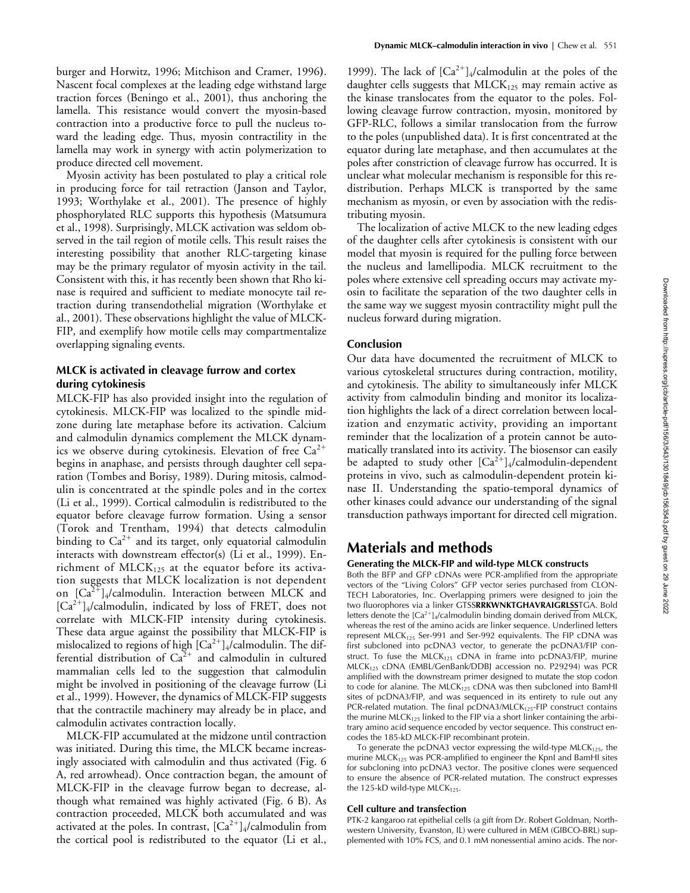burger and Horwitz, 1996; Mitchison and Cramer, 1996**)**. Nascent focal complexes at the leading edge withstand large traction forces (Beningo et al., 2001), thus anchoring the lamella. This resistance would convert the myosin-based contraction into a productive force to pull the nucleus toward the leading edge. Thus, myosin contractility in the lamella may work in synergy with actin polymerization to produce directed cell movement.

Myosin activity has been postulated to play a critical role in producing force for tail retraction (Janson and Taylor, 1993; Worthylake et al., 2001). The presence of highly phosphorylated RLC supports this hypothesis (Matsumura et al., 1998). Surprisingly, MLCK activation was seldom observed in the tail region of motile cells. This result raises the interesting possibility that another RLC-targeting kinase may be the primary regulator of myosin activity in the tail. Consistent with this, it has recently been shown that Rho kinase is required and sufficient to mediate monocyte tail retraction during transendothelial migration (Worthylake et al., 2001). These observations highlight the value of MLCK-FIP, and exemplify how motile cells may compartmentalize overlapping signaling events.

## **MLCK is activated in cleavage furrow and cortex during cytokinesis**

MLCK-FIP has also provided insight into the regulation of cytokinesis. MLCK-FIP was localized to the spindle midzone during late metaphase before its activation. Calcium and calmodulin dynamics complement the MLCK dynamics we observe during cytokinesis. Elevation of free  $Ca^{2+}$ begins in anaphase, and persists through daughter cell separation (Tombes and Borisy, 1989). During mitosis, calmodulin is concentrated at the spindle poles and in the cortex (Li et al., 1999). Cortical calmodulin is redistributed to the equator before cleavage furrow formation. Using a sensor (Torok and Trentham, 1994) that detects calmodulin binding to  $Ca^{2+}$  and its target, only equatorial calmodulin interacts with downstream effector(s) (Li et al., 1999). Enrichment of  $MLCK_{125}$  at the equator before its activation suggests that MLCK localization is not dependent on  $[Ca^{2+}]\n$ <sub>4</sub>/calmodulin. Interaction between MLCK and [Ca<sup>2</sup>-]4/calmodulin, indicated by loss of FRET, does not correlate with MLCK-FIP intensity during cytokinesis. These data argue against the possibility that MLCK-FIP is mislocalized to regions of high  $\left[Ca^{2+}\right]_4/c$ almodulin. The differential distribution of  $Ca^{2+}$  and calmodulin in cultured mammalian cells led to the suggestion that calmodulin might be involved in positioning of the cleavage furrow (Li et al., 1999). However, the dynamics of MLCK-FIP suggests that the contractile machinery may already be in place, and calmodulin activates contraction locally.

MLCK-FIP accumulated at the midzone until contraction was initiated. During this time, the MLCK became increasingly associated with calmodulin and thus activated (Fig. 6 A, red arrowhead). Once contraction began, the amount of MLCK-FIP in the cleavage furrow began to decrease, although what remained was highly activated (Fig. 6 B). As contraction proceeded, MLCK both accumulated and was activated at the poles. In contrast,  $[Ca^{2+}]_4/calmodulin$  from the cortical pool is redistributed to the equator (Li et al., 1999). The lack of  $[Ca^{2+}]\n4$ /calmodulin at the poles of the daughter cells suggests that  $MLCK_{125}$  may remain active as the kinase translocates from the equator to the poles. Following cleavage furrow contraction, myosin, monitored by GFP-RLC, follows a similar translocation from the furrow to the poles (unpublished data). It is first concentrated at the equator during late metaphase, and then accumulates at the poles after constriction of cleavage furrow has occurred. It is unclear what molecular mechanism is responsible for this redistribution. Perhaps MLCK is transported by the same mechanism as myosin, or even by association with the redistributing myosin.

The localization of active MLCK to the new leading edges of the daughter cells after cytokinesis is consistent with our model that myosin is required for the pulling force between the nucleus and lamellipodia. MLCK recruitment to the poles where extensive cell spreading occurs may activate myosin to facilitate the separation of the two daughter cells in the same way we suggest myosin contractility might pull the nucleus forward during migration.

## **Conclusion**

Our data have documented the recruitment of MLCK to various cytoskeletal structures during contraction, motility, and cytokinesis. The ability to simultaneously infer MLCK activity from calmodulin binding and monitor its localization highlights the lack of a direct correlation between localization and enzymatic activity, providing an important reminder that the localization of a protein cannot be automatically translated into its activity. The biosensor can easily be adapted to study other  $[Ca^{2+}]_4$ /calmodulin-dependent proteins in vivo, such as calmodulin-dependent protein kinase II. Understanding the spatio-temporal dynamics of other kinases could advance our understanding of the signal transduction pathways important for directed cell migration.

# **Materials and methods**

#### **Generating the MLCK-FIP and wild-type MLCK constructs**

Both the BFP and GFP cDNAs were PCR-amplified from the appropriate vectors of the "Living Colors" GFP vector series purchased from CLON-TECH Laboratories, Inc. Overlapping primers were designed to join the two fluorophores via a linker GTSS**RRKWNKTGHAVRAIGRLSS**TGA. Bold letters denote the  $[Ca^{2+}]$ <sub>4</sub>/calmodulin binding domain derived from MLCK, whereas the rest of the amino acids are linker sequence. Underlined letters represent  $MLCK_{125}$  Ser-991 and Ser-992 equivalents. The FIP cDNA was first subcloned into pcDNA3 vector, to generate the pcDNA3/FIP construct. To fuse the  $MLCK_{125}$  cDNA in frame into pcDNA3/FIP, murine MLCK<sub>125</sub> cDNA (EMBL/GenBank/DDBJ accession no. P29294) was PCR amplified with the downstream primer designed to mutate the stop codon to code for alanine. The MLCK<sub>125</sub> cDNA was then subcloned into BamHI sites of pcDNA3/FIP, and was sequenced in its entirety to rule out any PCR-related mutation. The final pcDNA3/MLCK<sub>125</sub>-FIP construct contains the murine MLC $K_{125}$  linked to the FIP via a short linker containing the arbitrary amino acid sequence encoded by vector sequence. This construct encodes the 185-kD MLCK-FIP recombinant protein.

To generate the pcDNA3 vector expressing the wild-type  $MLCK_{125}$ , the murine MLCK<sub>125</sub> was PCR-amplified to engineer the KpnI and BamHI sites for subcloning into pcDNA3 vector. The positive clones were sequenced to ensure the absence of PCR-related mutation. The construct expresses the 125-kD wild-type  $MLCK_{125}$ .

#### **Cell culture and transfection**

PTK-2 kangaroo rat epithelial cells (a gift from Dr. Robert Goldman, Northwestern University, Evanston, IL) were cultured in MEM (GIBCO-BRL) supplemented with 10% FCS, and 0.1 mM nonessential amino acids. The nor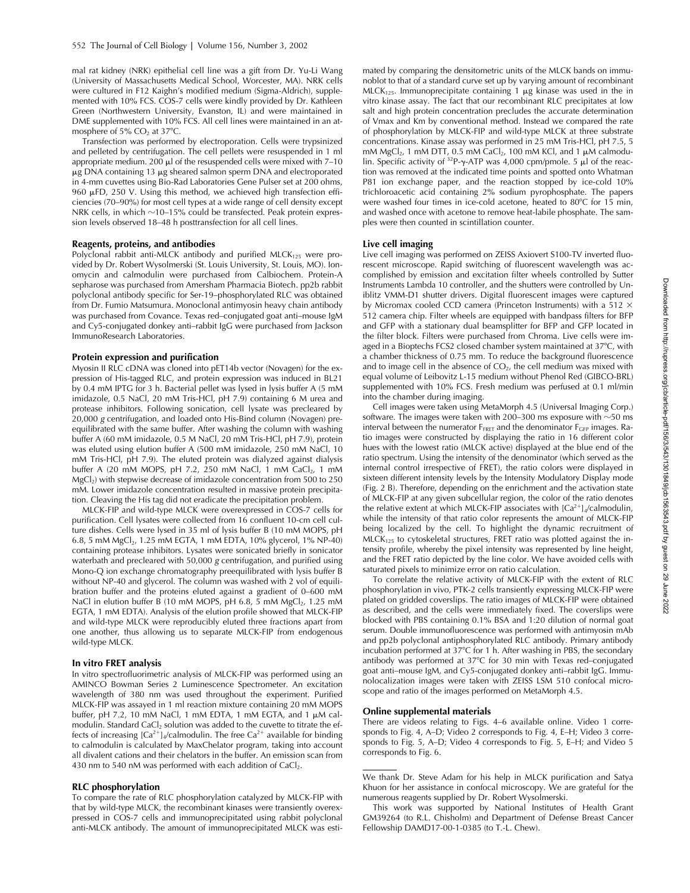mal rat kidney (NRK) epithelial cell line was a gift from Dr. Yu-Li Wang (University of Massachusetts Medical School, Worcester, MA). NRK cells were cultured in F12 Kaighn's modified medium (Sigma-Aldrich), supplemented with 10% FCS. COS-7 cells were kindly provided by Dr. Kathleen Green (Northwestern University, Evanston, IL) and were maintained in DME supplemented with 10% FCS. All cell lines were maintained in an atmosphere of 5%  $CO<sub>2</sub>$  at 37°C.

Transfection was performed by electroporation. Cells were trypsinized and pelleted by centrifugation. The cell pellets were resuspended in 1 ml appropriate medium. 200  $\mu$ l of the resuspended cells were mixed with 7–10  $\mu$ g DNA containing 13  $\mu$ g sheared salmon sperm DNA and electroporated in 4-mm cuvettes using Bio-Rad Laboratories Gene Pulser set at 200 ohms, 960  $\mu$ FD, 250 V. Using this method, we achieved high transfection efficiencies (70–90%) for most cell types at a wide range of cell density except NRK cells, in which  $\sim$ 10–15% could be transfected. Peak protein expression levels observed 18–48 h posttransfection for all cell lines.

#### **Reagents, proteins, and antibodies**

Polyclonal rabbit anti-MLCK antibody and purified  $MLCK_{125}$  were provided by Dr. Robert Wysolmerski (St. Louis University, St. Louis, MO). Ionomycin and calmodulin were purchased from Calbiochem. Protein-A sepharose was purchased from Amersham Pharmacia Biotech. pp2b rabbit polyclonal antibody specific for Ser-19–phosphorylated RLC was obtained from Dr. Fumio Matsumura. Monoclonal antimyosin heavy chain antibody was purchased from Covance. Texas red–conjugated goat anti–mouse IgM and Cy5-conjugated donkey anti–rabbit IgG were purchased from Jackson ImmunoResearch Laboratories.

#### **Protein expression and purification**

Myosin II RLC cDNA was cloned into pET14b vector (Novagen) for the expression of His-tagged RLC, and protein expression was induced in BL21 by 0.4 mM IPTG for 3 h. Bacterial pellet was lysed in lysis buffer A (5 mM imidazole, 0.5 NaCl, 20 mM Tris-HCl, pH 7.9) containing 6 M urea and protease inhibitors. Following sonication, cell lysate was precleared by 20,000 *g* centrifugation, and loaded onto His-Bind column (Novagen) preequilibrated with the same buffer. After washing the column with washing buffer A (60 mM imidazole, 0.5 M NaCl, 20 mM Tris-HCl, pH 7.9), protein was eluted using elution buffer A (500 mM imidazole, 250 mM NaCl, 10 mM Tris-HCl, pH 7.9). The eluted protein was dialyzed against dialysis buffer A (20 mM MOPS, pH 7.2, 250 mM NaCl, 1 mM CaCl<sub>2</sub>, 1 mM  $MgCl<sub>2</sub>$ ) with stepwise decrease of imidazole concentration from 500 to 250 mM. Lower imidazole concentration resulted in massive protein precipitation. Cleaving the His tag did not eradicate the precipitation problem.

MLCK-FIP and wild-type MLCK were overexpressed in COS-7 cells for purification. Cell lysates were collected from 16 confluent 10-cm cell culture dishes. Cells were lysed in 35 ml of lysis buffer B (10 mM MOPS, pH 6.8, 5 mM MgCl<sub>2</sub>, 1.25 mM EGTA, 1 mM EDTA, 10% glycerol, 1% NP-40) containing protease inhibitors. Lysates were sonicated briefly in sonicator waterbath and precleared with 50,000 *g* centrifugation, and purified using Mono-Q ion exchange chromatography preequilibrated with lysis buffer B without NP-40 and glycerol. The column was washed with 2 vol of equilibration buffer and the proteins eluted against a gradient of 0–600 mM NaCl in elution buffer B (10 mM MOPS, pH 6.8, 5 mM MgCl<sub>2</sub>, 1.25 mM EGTA, 1 mM EDTA). Analysis of the elution profile showed that MLCK-FIP and wild-type MLCK were reproducibly eluted three fractions apart from one another, thus allowing us to separate MLCK-FIP from endogenous wild-type MLCK.

#### **In vitro FRET analysis**

In vitro spectrofluorimetric analysis of MLCK-FIP was performed using an AMINCO Bowman Series 2 Luminescence Spectrometer. An excitation wavelength of 380 nm was used throughout the experiment. Purified MLCK-FIP was assayed in 1 ml reaction mixture containing 20 mM MOPS buffer, pH 7.2, 10 mM NaCl, 1 mM EDTA, 1 mM EGTA, and 1  $\mu$ M calmodulin. Standard CaCl<sub>2</sub> solution was added to the cuvette to titrate the effects of increasing [Ca<sup>2+</sup>]<sub>4</sub>/calmodulin. The free Ca<sup>2+</sup> available for binding to calmodulin is calculated by MaxChelator program, taking into account all divalent cations and their chelators in the buffer. An emission scan from 430 nm to 540 nM was performed with each addition of  $CaCl<sub>2</sub>$ .

## **RLC phosphorylation**

To compare the rate of RLC phosphorylation catalyzed by MLCK-FIP with that by wild-type MLCK, the recombinant kinases were transiently overexpressed in COS-7 cells and immunoprecipitated using rabbit polyclonal anti-MLCK antibody. The amount of immunoprecipitated MLCK was esti-

mated by comparing the densitometric units of the MLCK bands on immunoblot to that of a standard curve set up by varying amount of recombinant  $MLCK<sub>125</sub>$ . Immunoprecipitate containing 1  $\mu$ g kinase was used in the in vitro kinase assay. The fact that our recombinant RLC precipitates at low salt and high protein concentration precludes the accurate determination of Vmax and Km by conventional method. Instead we compared the rate of phosphorylation by MLCK-FIP and wild-type MLCK at three substrate concentrations. Kinase assay was performed in 25 mM Tris-HCl, pH 7.5, 5 mM MgCl<sub>2</sub>, 1 mM DTT, 0.5 mM CaCl<sub>2</sub>, 100 mM KCl, and 1  $\mu$ M calmodulin. Specific activity of <sup>32</sup>P- $\gamma$ -ATP was 4,000 cpm/pmole. 5  $\mu$ l of the reaction was removed at the indicated time points and spotted onto Whatman P81 ion exchange paper, and the reaction stopped by ice-cold 10% trichloroacetic acid containing 2% sodium pyrophosphate. The papers were washed four times in ice-cold acetone, heated to 80°C for 15 min, and washed once with acetone to remove heat-labile phosphate. The samples were then counted in scintillation counter.

#### **Live cell imaging**

Live cell imaging was performed on ZEISS Axiovert S100-TV inverted fluorescent microscope. Rapid switching of fluorescent wavelength was accomplished by emission and excitation filter wheels controlled by Sutter Instruments Lambda 10 controller, and the shutters were controlled by Uniblitz VMM-D1 shutter drivers. Digital fluorescent images were captured by Micromax cooled CCD camera (Princeton Instruments) with a 512  $\times$ 512 camera chip. Filter wheels are equipped with bandpass filters for BFP and GFP with a stationary dual beamsplitter for BFP and GFP located in the filter block. Filters were purchased from Chroma. Live cells were imaged in a Bioptechs FCS2 closed chamber system maintained at 37°C, with a chamber thickness of 0.75 mm. To reduce the background fluorescence and to image cell in the absence of  $CO<sub>2</sub>$ , the cell medium was mixed with equal volume of Leibovitz L-15 medium without Phenol Red (GIBCO-BRL) supplemented with 10% FCS. Fresh medium was perfused at 0.1 ml/min into the chamber during imaging.

Cell images were taken using MetaMorph 4.5 (Universal Imaging Corp.) software. The images were taken with 200–300 ms exposure with  ${\sim}50$  ms interval between the numerator  $F_{FRET}$  and the denominator  $F_{GFP}$  images. Ratio images were constructed by displaying the ratio in 16 different color hues with the lowest ratio (MLCK active) displayed at the blue end of the ratio spectrum. Using the intensity of the denominator (which served as the internal control irrespective of FRET), the ratio colors were displayed in sixteen different intensity levels by the Intensity Modulatory Display mode (Fig. 2 B). Therefore, depending on the enrichment and the activation state of MLCK-FIP at any given subcellular region, the color of the ratio denotes the relative extent at which MLCK-FIP associates with  $[Ca^{2+}]_4$ /calmodulin, while the intensity of that ratio color represents the amount of MLCK-FIP being localized by the cell. To highlight the dynamic recruitment of  $MLCK<sub>125</sub>$  to cytoskeletal structures, FRET ratio was plotted against the intensity profile, whereby the pixel intensity was represented by line height, and the FRET ratio depicted by the line color. We have avoided cells with saturated pixels to minimize error on ratio calculation.

To correlate the relative activity of MLCK-FIP with the extent of RLC phosphorylation in vivo, PTK-2 cells transiently expressing MLCK-FIP were plated on gridded coverslips. The ratio images of MLCK-FIP were obtained as described, and the cells were immediately fixed. The coverslips were blocked with PBS containing 0.1% BSA and 1:20 dilution of normal goat serum. Double immunofluorescence was performed with antimyosin mAb and pp2b polyclonal antiphosphorylated RLC antibody. Primary antibody incubation performed at 37°C for 1 h. After washing in PBS, the secondary antibody was performed at 37°C for 30 min with Texas red–conjugated goat anti–mouse IgM, and Cy5-conjugated donkey anti–rabbit IgG. Immunolocalization images were taken with ZEISS LSM 510 confocal microscope and ratio of the images performed on MetaMorph 4.5.

#### **Online supplemental materials**

There are videos relating to Figs. 4–6 available online. Video 1 corresponds to Fig. 4, A–D; Video 2 corresponds to Fig. 4, E–H; Video 3 corresponds to Fig. 5, A–D; Video 4 corresponds to Fig. 5, E–H; and Video 5 corresponds to Fig. 6.

We thank Dr. Steve Adam for his help in MLCK purification and Satya Khuon for her assistance in confocal microscopy. We are grateful for the numerous reagents supplied by Dr. Robert Wysolmerski.

This work was supported by National Institutes of Health Grant GM39264 (to R.L. Chisholm) and Department of Defense Breast Cancer Fellowship DAMD17-00-1-0385 (to T.-L. Chew).